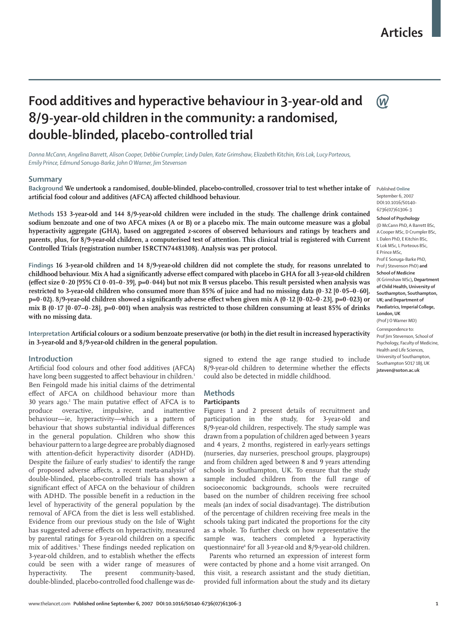## **Articles**

(W

# **Food additives and hyperactive behaviour in 3-year-old and 8/9-year-old children in the community: a randomised, double-blinded, placebo-controlled trial**

*Donna McCann, Angelina Barrett, Alison Cooper, Debbie Crumpler, Lindy Dalen, Kate Grimshaw, Elizabeth Kitchin, Kris Lok, Lucy Porteous, Emily Prince, Edmund Sonuga-Barke, John O Warner, Jim Stevenson*

## **Summary**

**Background We undertook a randomised, double-blinded, placebo-controlled, crossover trial to test whether intake of**  artificial food colour and additives (AFCA) affected childhood behaviour.

**Methods 153 3-year-old and 144 8/9-year-old children were included in the study. The challenge drink contained sodium benzoate and one of two AFCA mixes (A or B) or a placebo mix. The main outcome measure was a global hyperactivity aggregate (GHA), based on aggregated z-scores of observed behaviours and ratings by teachers and parents, plus, for 8/9-year-old children, a computerised test of attention. This clinical trial is registered with Current Controlled Trials (registration number ISRCTN74481308). Analysis was per protocol.** 

**Findings 16 3-year-old children and 14 8/9-year-old children did not complete the study, for reasons unrelated to**  childhood behaviour. Mix A had a significantly adverse effect compared with placebo in GHA for all 3-year-old children **(effect size 0⋅20 [95% CI 0⋅01-0⋅39], p=0⋅044) but not mix B versus placebo. This result persisted when analysis was restricted to 3-year-old children who consumed more than 85% of juice and had no missing data (0⋅32 [0⋅05–0⋅60], p=0⋅02).** 8/9-year-old children showed a significantly adverse effect when given mix A (0⋅12 [0⋅02–0⋅23], p=0⋅023) or **mix B (0⋅17 [0⋅07–0⋅28], p=0⋅001) when analysis was restricted to those children consuming at least 85% of drinks with no missing data.**

Interpretation Artificial colours or a sodium benzoate preservative (or both) in the diet result in increased hyperactivity **in 3-year-old and 8/9-year-old children in the general population.** 

## **Introduction**

Artificial food colours and other food additives (AFCA) have long been suggested to affect behaviour in children.<sup>1</sup> Ben Feingold made his initial claims of the detrimental effect of AFCA on childhood behaviour more than 30 years ago.<sup>2</sup> The main putative effect of AFCA is to produce overactive, impulsive, and inattentive behaviour—ie, hyperactivity—which is a pattern of behaviour that shows substantial individual differences in the general population. Children who show this behaviour pattern to a large degree are probably diagnosed with attention-deficit hyperactivity disorder (ADHD). Despite the failure of early studies<sup>3</sup> to identify the range of proposed adverse affects, a recent meta-analysis<sup>4</sup> of double-blinded, placebo-controlled trials has shown a significant effect of AFCA on the behaviour of children with ADHD. The possible benefit in a reduction in the level of hyperactivity of the general population by the removal of AFCA from the diet is less well established. Evidence from our previous study on the Isle of Wight has suggested adverse effects on hyperactivity, measured by parental ratings for 3-year-old children on a specific mix of additives.<sup>5</sup> These findings needed replication on 3-year-old children, and to establish whether the effects could be seen with a wider range of measures of hyperactivity. The present community-based, double-blinded, placebo-controlled food challenge was designed to extend the age range studied to include 8/9-year-old children to determine whether the effects could also be detected in middle childhood.

## **Methods**

## **Participants**

Figures 1 and 2 present details of recruitment and participation in the study, for 3-year-old and 8/9-year-old children, respectively. The study sample was drawn from a population of children aged between 3 years and 4 years, 2 months, registered in early-years settings (nurseries, day nurseries, preschool groups, playgroups) and from children aged between 8 and 9 years attending schools in Southampton, UK. To ensure that the study sample included children from the full range of socioeconomic backgrounds, schools were recruited based on the number of children receiving free school meals (an index of social disadvantage). The distribution of the percentage of children receiving free meals in the schools taking part indicated the proportions for the city as a whole. To further check on how representative the sample was, teachers completed a hyperactivity questionnaire6 for all 3-year-old and 8/9-year-old children.

Parents who returned an expression of interest form were contacted by phone and a home visit arranged. On this visit, a research assistant and the study dietitian, provided full information about the study and its dietary

Published **Online** September 6, 2007 DOI:10.1016/S0140- 6736(07)61306-3

**School of Psychology** (D McCann PhD, A Barrett BSc, A Cooper MSc, D Crumpler BSc, L Dalen PhD, E Kitchin BSc, K Lok MSc, L Porteous BSc, E Prince MSc, Prof E Sonuga-Barke PhD, Prof J Stevenson PhD) **and School of Medicine** (K Grimshaw MSc)**, Department of Child Health, University of Southampton, Southampton, UK; and Department of Paediatrics, Imperial College, London, UK** (Prof J O Warner MD) Correspondence to: Prof Iim Stevenson, School of Psychology, Faculty of Medicine, Health and Life Sciences, University of Southampton, Southampton SO17 1BJ, UK **jsteven@soton.ac.uk**

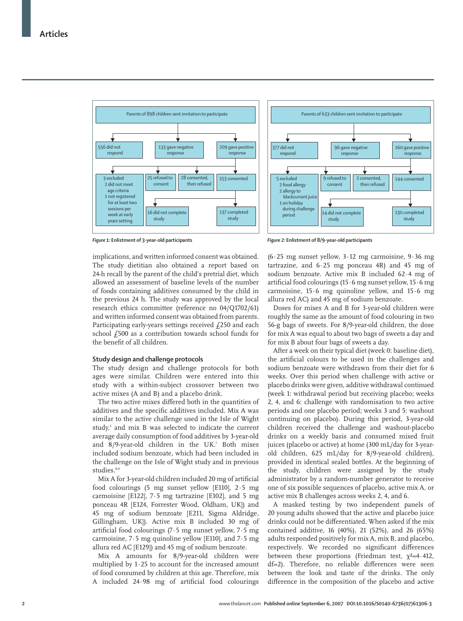

*Figure 1:* **Enlistment of 3-year-old participants**

implications, and written informed consent was obtained. The study dietitian also obtained a report based on 24-h recall by the parent of the child's pretrial diet, which allowed an assessment of baseline levels of the number of foods containing additives consumed by the child in the previous 24 h. The study was approved by the local research ethics committee (reference no 04/Q1702/61) and written informed consent was obtained from parents. Participating early-years settings received  $f$ 250 and each school £500 as a contribution towards school funds for the benefit of all children.

#### **Study design and challenge protocols**

The study design and challenge protocols for both ages were similar. Children were entered into this study with a within-subject crossover between two active mixes (A and B) and a placebo drink.

The two active mixes differed both in the quantities of additives and the specific additives included. Mix A was similar to the active challenge used in the Isle of Wight study,<sup>5</sup> and mix B was selected to indicate the current average daily consumption of food additives by 3-year-old and 8/9-year-old children in the UK.7 Both mixes included sodium benzoate, which had been included in the challenge on the Isle of Wight study and in previous studies.<sup>8,9</sup>

Mix A for 3-year-old children included 20 mg of artificial food colourings (5 mg sunset yellow [E110], 2⋅5 mg carmoisine [E122], 7⋅5 mg tartrazine [E102], and 5 mg ponceau 4R [E124, Forrester Wood, Oldham, UK]) and 45 mg of sodium benzoate [E211, Sigma Aldridge, Gillingham, UK]). Active mix B included 30 mg of artificial food colourings (7⋅5 mg sunset yellow, 7⋅5 mg carmoisine, 7⋅5 mg quinoline yellow [E110], and 7⋅5 mg allura red AC [E129]) and 45 mg of sodium benzoate.

Mix A amounts for 8/9-year-old children were multiplied by 1⋅25 to account for the increased amount of food consumed by children at this age. Therefore, mix A included 24⋅98 mg of artificial food colourings



*Figure 2:* **Enlistment of 8/9-year-old participants**

(6⋅25 mg sunset yellow, 3⋅12 mg carmoisine, 9⋅36 mg tartrazine, and 6⋅25 mg ponceau 4R) and 45 mg of sodium benzoate. Active mix B included 62⋅4 mg of artificial food colourings (15⋅6 mg sunset yellow, 15⋅6 mg carmoisine, 15⋅6 mg quinoline yellow, and 15⋅6 mg allura red AC) and 45 mg of sodium benzoate.

Doses for mixes A and B for 3-year-old children were roughly the same as the amount of food colouring in two 56-g bags of sweets. For 8/9-year-old children, the dose for mix A was equal to about two bags of sweets a day and for mix B about four bags of sweets a day.

After a week on their typical diet (week 0: baseline diet), the artificial colours to be used in the challenges and sodium benzoate were withdrawn from their diet for 6 weeks. Over this period when challenge with active or placebo drinks were given, additive withdrawal continued (week 1: withdrawal period but receiving placebo; weeks 2, 4, and 6: challenge with randomisation to two active periods and one placebo period; weeks 3 and 5: washout continuing on placebo). During this period, 3-year-old children received the challenge and washout-placebo drinks on a weekly basis and consumed mixed fruit juices (placebo or active) at home (300 mL/day for 3-yearold children, 625 mL/day for 8/9-year-old children), provided in identical sealed bottles. At the beginning of the study, children were assigned by the study administrator by a random-number generator to receive one of six possible sequences of placebo, active mix A, or active mix B challenges across weeks 2, 4, and 6.

A masked testing by two independent panels of 20 young adults showed that the active and placebo juice drinks could not be differentiated. When asked if the mix contained additive, 16 (40%), 21 (52%), and 26 (65%) adults responded positively for mix A, mix B, and placebo, respectively. We recorded no significant differences between these proportions (Friedman test,  $\chi^2=4.412$ , df=2). Therefore, no reliable differences were seen between the look and taste of the drinks. The only difference in the composition of the placebo and active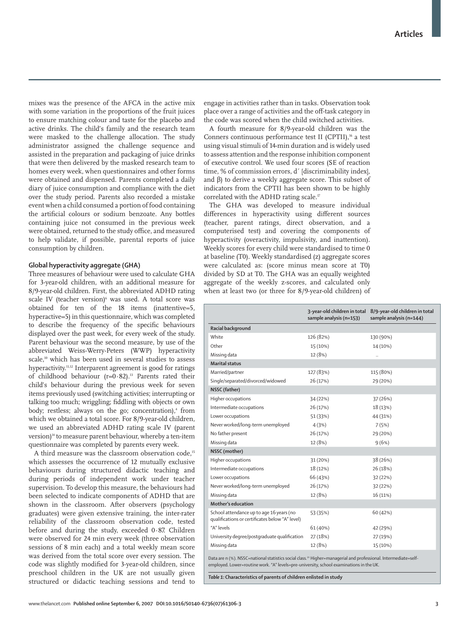mixes was the presence of the AFCA in the active mix with some variation in the proportions of the fruit juices to ensure matching colour and taste for the placebo and active drinks. The child's family and the research team were masked to the challenge allocation. The study administrator assigned the challenge sequence and assisted in the preparation and packaging of juice drinks that were then delivered by the masked research team to homes every week, when questionnaires and other forms were obtained and dispensed. Parents completed a daily diary of juice consumption and compliance with the diet over the study period. Parents also recorded a mistake event when a child consumed a portion of food containing the artificial colours or sodium benzoate. Any bottles containing juice not consumed in the previous week were obtained, returned to the study office, and measured to help validate, if possible, parental reports of juice consumption by children.

## **Global hyperactivity aggregate (GHA)**

Three measures of behaviour were used to calculate GHA for 3-year-old children, with an additional measure for 8/9-year-old children. First, the abbreviated ADHD rating scale IV (teacher version)<sup>6</sup> was used. A total score was obtained for ten of the 18 items (inattentive=5, hyperactive=5) in this questionnaire, which was completed to describe the frequency of the specific behaviours displayed over the past week, for every week of the study. Parent behaviour was the second measure, by use of the abbreviated Weiss-Werry-Peters (WWP) hyperactivity scale,<sup>10</sup> which has been used in several studies to assess hyperactivity.<sup>11,12</sup> Interparent agreement is good for ratings of childhood behaviour (r=0⋅82).13 Parents rated their child's behaviour during the previous week for seven items previously used (switching activities; interrupting or talking too much; wriggling; fiddling with objects or own body; restless; always on the go; concentration),<sup>4</sup> from which we obtained a total score. For 8/9-year-old children, we used an abbreviated ADHD rating scale IV (parent version)<sup>14</sup> to measure parent behaviour, whereby a ten-item questionnaire was completed by parents every week.

A third measure was the classroom observation code,<sup>15</sup> which assesses the occurrence of 12 mutually exclusive behaviours during structured didactic teaching and during periods of independent work under teacher supervision. To develop this measure, the behaviours had been selected to indicate components of ADHD that are shown in the classroom. After observers (psychology graduates) were given extensive training, the inter-rater reliability of the classroom observation code, tested before and during the study, exceeded 0⋅87. Children were observed for 24 min every week (three observation sessions of 8 min each) and a total weekly mean score was derived from the total score over every session. The code was slightly modified for 3-year-old children, since preschool children in the UK are not usually given structured or didactic teaching sessions and tend to

engage in activities rather than in tasks. Observation took place over a range of activities and the off -task category in the code was scored when the child switched activities.

A fourth measure for 8/9-year-old children was the Conners continuous performance test II (CPTII),<sup>16</sup> a test using visual stimuli of 14-min duration and is widely used to assess attention and the response inhibition component of executive control. We used four scores (SE of reaction time, % of commission errors, d´ [discriminability index], and β) to derive a weekly aggregate score. This subset of indicators from the CPTII has been shown to be highly correlated with the ADHD rating scale.<sup>17</sup>

The GHA was developed to measure individual differences in hyperactivity using different sources (teacher, parent ratings, direct observation, and a computerised test) and covering the components of hyperactivity (overactivity, impulsivity, and inattention). Weekly scores for every child were standardised to time 0 at baseline (T0). Weekly standardised (z) aggregate scores were calculated as: (score minus mean score at T0) divided by SD at T0. The GHA was an equally weighted aggregate of the weekly z-scores, and calculated only when at least two (or three for 8/9-year-old children) of

|                                                                                                                                                                                                                        | sample analysis (n=153) | 3-year-old children in total 8/9-year-old children in total<br>sample analysis (n=144) |
|------------------------------------------------------------------------------------------------------------------------------------------------------------------------------------------------------------------------|-------------------------|----------------------------------------------------------------------------------------|
| Racial background                                                                                                                                                                                                      |                         |                                                                                        |
| White                                                                                                                                                                                                                  | 126 (82%)               | 130 (90%)                                                                              |
| Other                                                                                                                                                                                                                  | 15 (10%)                | 14 (10%)                                                                               |
| Missing data                                                                                                                                                                                                           | 12 (8%)                 |                                                                                        |
| <b>Marital status</b>                                                                                                                                                                                                  |                         |                                                                                        |
| Married/partner                                                                                                                                                                                                        | 127 (83%)               | 115 (80%)                                                                              |
| Single/separated/divorced/widowed                                                                                                                                                                                      | 26 (17%)                | 29 (20%)                                                                               |
| NSSC (father)                                                                                                                                                                                                          |                         |                                                                                        |
| Higher occupations                                                                                                                                                                                                     | 34 (22%)                | 37 (26%)                                                                               |
| Intermediate occupations                                                                                                                                                                                               | 26 (17%)                | 18 (13%)                                                                               |
| Lower occupations                                                                                                                                                                                                      | 51 (33%)                | 44 (31%)                                                                               |
| Never worked/long-term unemployed                                                                                                                                                                                      | 4(3%)                   | 7(5%)                                                                                  |
| No father present                                                                                                                                                                                                      | 26 (17%)                | 29 (20%)                                                                               |
| Missing data                                                                                                                                                                                                           | 12 (8%)                 | 9(6%)                                                                                  |
| NSSC (mother)                                                                                                                                                                                                          |                         |                                                                                        |
| Higher occupations                                                                                                                                                                                                     | 31 (20%)                | 38 (26%)                                                                               |
| Intermediate occupations                                                                                                                                                                                               | 18 (12%)                | 26 (18%)                                                                               |
| Lower occupations                                                                                                                                                                                                      | 66 (43%)                | 32 (22%)                                                                               |
| Never worked/long-term unemployed                                                                                                                                                                                      | 26 (17%)                | 32 (22%)                                                                               |
| Missing data                                                                                                                                                                                                           | 12 (8%)                 | 16 (11%)                                                                               |
| Mother's education                                                                                                                                                                                                     |                         |                                                                                        |
| School attendance up to age 16 years (no<br>qualifications or certificates below "A" level)                                                                                                                            | 53 (35%)                | 60 (42%)                                                                               |
| "A" levels                                                                                                                                                                                                             | 61 (40%)                | 42 (29%)                                                                               |
| University degree/postgraduate qualification                                                                                                                                                                           | 27 (18%)                | 27 (19%)                                                                               |
| Missing data                                                                                                                                                                                                           | 12 (8%)                 | 15 (10%)                                                                               |
| Data are n (%). NSSC=national statistics social class. <sup>20</sup> Higher=managerial and professional. Intermediate=self-<br>employed. Lower=routine work. "A" levels=pre-university, school examinations in the UK. |                         |                                                                                        |

*Table 1:* **Characteristics of parents of children enlisted in study**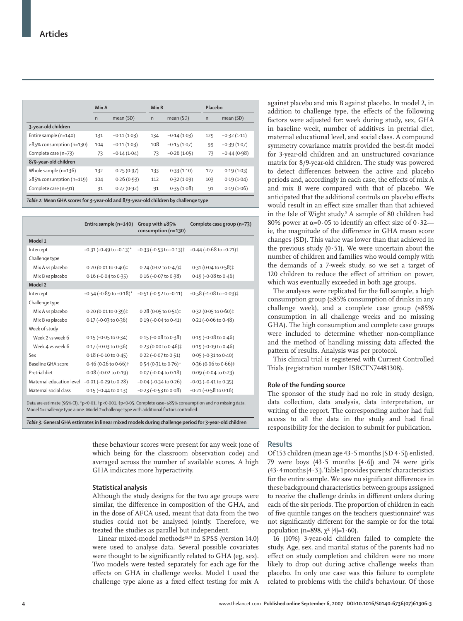|                                | Mix A        |               | Mix B        |               | Placebo      |               |
|--------------------------------|--------------|---------------|--------------|---------------|--------------|---------------|
|                                | $\mathsf{n}$ | mean (SD)     | $\mathsf{n}$ | mean (SD)     | $\mathsf{n}$ | mean (SD)     |
| 3-year-old children            |              |               |              |               |              |               |
| Entire sample (n=140)          | 131          | $-0.11(1.03)$ | 134          | $-0.14(1.03)$ | 129          | $-0.32(1.11)$ |
| $\geq$ 85% consumption (n=130) | 104          | $-0.11(1.03)$ | 108          | $-0.15(1.07)$ | 99           | $-0.39(1.07)$ |
| Complete case (n=73)           | 73           | $-0.14(1.04)$ | 73           | $-0.26(1.05)$ | 73           | $-0.44(0.98)$ |
| 8/9-year-old children          |              |               |              |               |              |               |
| Whole sample (n=136)           | 132          | 0.25(0.97)    | 133          | 0.33(1.10)    | 127          | 0.19(1.03)    |
| $\geq$ 85% consumption (n=119) | 104          | 0.26(0.93)    | 112          | 0.32(1.09)    | 103          | 0.19(1.04)    |
| Complete case (n=91)           | 91           | 0.27(0.92)    | 91           | 0.35(1.08)    | 91           | 0.19(1.06)    |
|                                |              |               |              |               |              |               |

*Table 2:* **Mean GHA scores for 3-year-old and 8/9-year-old children by challenge type** 

|                          | Entire sample (n=140)                       | Group with $\geq 85\%$<br>consumption (n=130) | Complete case group (n=73)                                                                                  |
|--------------------------|---------------------------------------------|-----------------------------------------------|-------------------------------------------------------------------------------------------------------------|
| Model 1                  |                                             |                                               |                                                                                                             |
| Intercept                | $-0.31$ ( $-0.49$ to $-0.13$ ) <sup>*</sup> | $-0.33$ ( $-0.53$ to $-0.13$ ) <sup>+</sup>   | $-0.44$ ( $-0.68$ to $-0.21$ ) <sup>+</sup>                                                                 |
| Challenge type           |                                             |                                               |                                                                                                             |
| Mix A vs placebo         | 0.20 (0.01 to 0.40)‡                        | 0.24 (0.02 to 0.47)‡                          | 0.31 (0.04 to 0.58)‡                                                                                        |
| Mix B vs placebo         | $0.16$ (-0.04 to 0.35)                      | $0.16$ (-0.07 to 0.38)                        | $0.19$ (-0.08 to 0.46)                                                                                      |
| Model 2                  |                                             |                                               |                                                                                                             |
| Intercept                | $-0.54$ (-0.89 to $-0.18$ )*                | $-0.51$ ( $-0.92$ to $-0.11$ )                | $-0.58$ ( $-1.08$ to $-0.09$ )‡                                                                             |
| Challenge type           |                                             |                                               |                                                                                                             |
| Mix A vs placebo         | 0.20 (0.01 to 0.39)‡                        | 0.28 (0.05 to 0.51)‡                          | 0.32 (0.05 to 0.60)‡                                                                                        |
| Mix B vs placebo         | $0.17$ (-0.03 to 0.36)                      | $0.19 (-0.04 to 0.41)$                        | $0.21$ (-0.06 to 0.48)                                                                                      |
| Week of study            |                                             |                                               |                                                                                                             |
| Week 2 vs week 6         | $0.15 (-0.05 to 0.34)$                      | $0.15$ (-0.08 to 0.38)                        | $0.19$ (-0.08 to 0.46)                                                                                      |
| Week 4 vs week 6         | $0.17$ (-0.03 to 0.36)                      | 0.23 (0.00 to 0.46)‡                          | $0.19$ (-0.09 to 0.46)                                                                                      |
| Sex                      | $0.18 (-0.10 to 0.45)$                      | 0.22 (-0.07 to 0.51)                          | $0.05 (-0.31 to 0.40)$                                                                                      |
| Baseline GHA score       | 0.46 (0.26 to 0.66) <sup>†</sup>            | 0.54 (0.31 to 0.76) <sup>+</sup>              | 0.36 (0.06 to 0.66)‡                                                                                        |
| Pretrial diet            | $0.08 (-0.02 \text{ to } 0.19)$             | $0.07$ (-0.04 to 0.18)                        | $0.09$ (-0.04 to 0.23)                                                                                      |
| Maternal education level | $-0.01$ ( $-0.29$ to $0.28$ )               | $-0.04$ ( $-0.34$ to $0.26$ )                 | $-0.03$ ( $-0.41$ to $0.35$ )                                                                               |
| Maternal social class    | $0.15 (-0.44$ to $0.13)$                    | $-0.23$ ( $-0.53$ to $0.08$ )                 | $-0.21$ ( $-0.58$ to $0.16$ )                                                                               |
|                          |                                             |                                               | Data are estimate (95% CI). *p<0·01. †p<0·001. ‡p<0·05. Complete case=≥85% consumption and no missing data. |

Model 1=challenge type alone. Model 2=challenge type with additional factors controlled.

*Table 3:* **General GHA estimates in linear mixed models during challenge period for 3-year-old children**

these behaviour scores were present for any week (one of which being for the classroom observation code) and averaged across the number of available scores. A high GHA indicates more hyperactivity.

#### **Statistical analysis**

Although the study designs for the two age groups were similar, the difference in composition of the GHA, and in the dose of AFCA used, meant that data from the two studies could not be analysed jointly. Therefore, we treated the studies as parallel but independent.

Linear mixed-model methods<sup>18,19</sup> in SPSS (version 14.0) were used to analyse data. Several possible covariates were thought to be significantly related to GHA (eg, sex). Two models were tested separately for each age for the effects on GHA in challenge weeks. Model 1 used the challenge type alone as a fixed effect testing for mix A against placebo and mix B against placebo. In model 2, in addition to challenge type, the effects of the following factors were adjusted for: week during study, sex, GHA in baseline week, number of additives in pretrial diet, maternal educational level, and social class. A compound symmetry covariance matrix provided the best-fit model for 3-year-old children and an unstructured covariance matrix for 8/9-year-old children. The study was powered to detect differences between the active and placebo periods and, accordingly in each case, the effects of mix A and mix B were compared with that of placebo. We anticipated that the additional controls on placebo effects would result in an effect size smaller than that achieved in the Isle of Wight study.<sup>5</sup> A sample of 80 children had 80% power at  $\alpha = 0.05$  to identify an effect size of  $0.32$  ie, the magnitude of the difference in GHA mean score changes (SD). This value was lower than that achieved in the previous study  $(0.51)$ . We were uncertain about the number of children and families who would comply with the demands of a 7-week study, so we set a target of 120 children to reduce the effect of attrition on power, which was eventually exceeded in both age groups.

The analyses were replicated for the full sample, a high consumption group (≥85% consumption of drinks in any challenge week), and a complete case group  $(≥85%$ consumption in all challenge weeks and no missing GHA). The high consumption and complete case groups were included to determine whether non-compliance and the method of handling missing data affected the pattern of results. Analysis was per protocol.

This clinical trial is registered with Current Controlled Trials (registration number ISRCTN74481308).

### **Role of the funding source**

The sponsor of the study had no role in study design, data collection, data analysis, data interpretation, or writing of the report. The corresponding author had full access to all the data in the study and had final responsibility for the decision to submit for publication.

#### **Results**

Of 153 children (mean age 43·5 months [SD 4·5]) enlisted, 79 were boys  $(43.5 \text{ months } [4.6])$  and 74 were girls (43·4 months [4·3]). Table 1 provides parents' characteristics for the entire sample. We saw no significant differences in these background characteristics between groups assigned to receive the challenge drinks in different orders during each of the six periods. The proportion of children in each of five quintile ranges on the teachers questionnaire<sup>6</sup> was not significantly different for the sample or for the total population (n=898,  $\chi^2$  [4]=1.60).

16 (10%) 3-year-old children failed to complete the study. Age, sex, and marital status of the parents had no effect on study completion and children were no more likely to drop out during active challenge weeks than placebo. In only one case was this failure to complete related to problems with the child's behaviour. Of those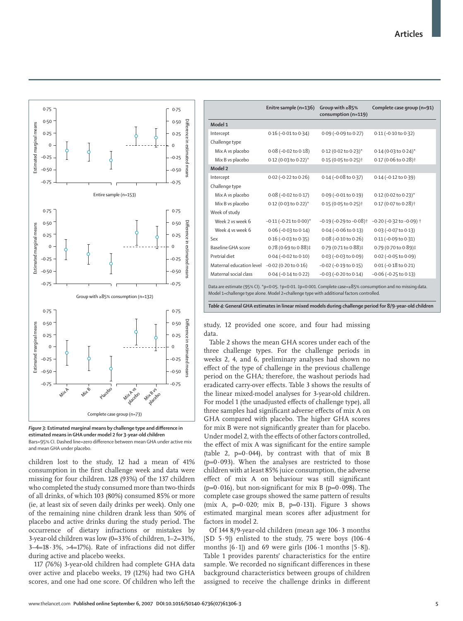

**Figure 3: Estimated marginal means by challenge type and difference in estimated means in GHA under model 2 for 3-year-old children**  Bars=95% CJ. Dashed line=zero difference between mean GHA under active mix and mean GHA under placebo.

children lost to the study, 12 had a mean of 41% consumption in the first challenge week and data were missing for four children. 128 (93%) of the 137 children who completed the study consumed more than two-thirds of all drinks, of which 103 (80%) consumed 85% or more (ie, at least six of seven daily drinks per week). Only one of the remaining nine children drank less than 50% of placebo and active drinks during the study period. The occurrence of dietary infractions or mistakes by 3-year-old children was low (0=33% of children, 1–2=31%,  $3-4=18.3\%$ ,  $>4=17\%$ ). Rate of infractions did not differ during active and placebo weeks.

117 (76%) 3-year-old children had complete GHA data over active and placebo weeks, 19 (12%) had two GHA scores, and one had one score. Of children who left the

|                           | Enitre sample (n=136)         | Group with $\geq 85\%$<br>consumption (n=119) | Complete case group (n=91)               |
|---------------------------|-------------------------------|-----------------------------------------------|------------------------------------------|
| Model 1                   |                               |                                               |                                          |
| Intercept                 | $0.16$ (-0.01 to 0.34)        | 0.09 (-0.09 to 0.27)                          | $0.11$ (-0.10 to 0.32)                   |
| Challenge type            |                               |                                               |                                          |
| Mix A vs placebo          | $0.08$ (-0.02 to 0.18)        | 0.12 (0.02 to 0.23)*                          | 0.14 (0.03 to 0.24)*                     |
| Mix B vs placebo          | 0.12 (0.03 to 0.22)*          | 0.15 (0.05 to 0.25) <sup>+</sup>              | 0.17 (0.06 to 0.28) <sup>†</sup>         |
| Model 2                   |                               |                                               |                                          |
| Intercept                 | $0.02$ (-0.22 to $0.26$ )     | $0.14 (-0.08 to 0.37)$                        | 0.14 (-0.12 to 0.39)                     |
| Challenge type            |                               |                                               |                                          |
| Mix A vs placebo          | $0.08$ (-0.02 to 0.17)        | $0.09$ (-0.01 to $0.19$ )                     | $0.12$ (0.02 to $0.23$ )*                |
| Mix B vs placebo          | 0.12 (0.03 to 0.22)*          | 0.15 (0.05 to 0.25) <sup>+</sup>              | 0.17 (0.07 to 0.28) <sup>+</sup>         |
| Week of study             |                               |                                               |                                          |
| Week 2 vs week 6          | $-0.11$ $(-0.21$ to $0.00)^*$ | $-0.19$ ( $-0.29$ to $-0.08$ ) <sup>†</sup>   | $-0.20$ ( $-0.32$ to $-0.09$ ) $\dagger$ |
| Week 4 vs week 6          | $0.06$ (-0.03 to 0.14)        | $0.04 (-0.06 to 0.13)$                        | $0.03$ (-0.07 to 0.13)                   |
| Sex                       | $0.16$ (-0.03 to 0.35)        | $0.08$ (-0.10 to 0.26)                        | $0.11 (-0.09 to 0.31)$                   |
| <b>Baseline GHA score</b> | 0.78 (0.69 to 0.88)‡          | 0.79 (0.71 to 0.88)‡                          | 0.79 (0.70 to 0.89)‡                     |
| Pretrial diet             | $0.04 (-0.02 to 0.10)$        | $0.03$ (-0.03 to $0.09$ )                     | $0.02$ (-0.05 to $0.09$ )                |
| Maternal education level  | $-0.02$ (0.20 to 0.16)        | $-0.02$ ( $-0.19$ to $0.15$ )                 | $0.01 (-0.18 to 0.21)$                   |
| Maternal social class     | $0.04 (-0.14 to 0.22)$        | $-0.03$ ( $-0.20$ to $0.14$ )                 | $-0.06$ ( $-0.25$ to $0.13$ )            |

Data are estimate (95% CI). \*p<0·05. †p<0·01. ‡p<0·001. Complete case=≥85% consumption and no missing data. Model 1=challenge type alone. Model 2=challenge type with additional factors controlled.

*Table 4:* **General GHA estimates in linear mixed models during challenge period for 8/9-year-old children**

study, 12 provided one score, and four had missing data.

Table 2 shows the mean GHA scores under each of the three challenge types. For the challenge periods in weeks 2, 4, and 6, preliminary analyses had shown no effect of the type of challenge in the previous challenge period on the GHA; therefore, the washout periods had eradicated carry-over effects. Table 3 shows the results of the linear mixed-model analyses for 3-year-old children. For model 1 (the unadjusted effects of challenge type), all three samples had significant adverse effects of mix A on GHA compared with placebo. The higher GHA scores for mix B were not significantly greater than for placebo. Under model 2, with the effects of other factors controlled, the effect of mix A was significant for the entire sample (table 2,  $p=0.044$ ), by contrast with that of mix B  $(p=0.093)$ . When the analyses are restricted to those children with at least 85% juice consumption, the adverse effect of mix A on behaviour was still significant (p=0·016), but non-significant for mix B (p=0·098). The complete case groups showed the same pattern of results (mix A,  $p=0.020$ ; mix B,  $p=0.131$ ). Figure 3 shows estimated marginal mean scores after adjustment for factors in model 2.

Of 144 8/9-year-old children (mean age 106·3 months  $[SD 5.9]$ ) enlisted to the study, 75 were boys  $(106.4)$ months  $[6.1]$  and 69 were girls  $(106.1 \text{ months } [5.8])$ . Table 1 provides parents' characteristics for the entire sample. We recorded no significant differences in these background characteristics between groups of children assigned to receive the challenge drinks in different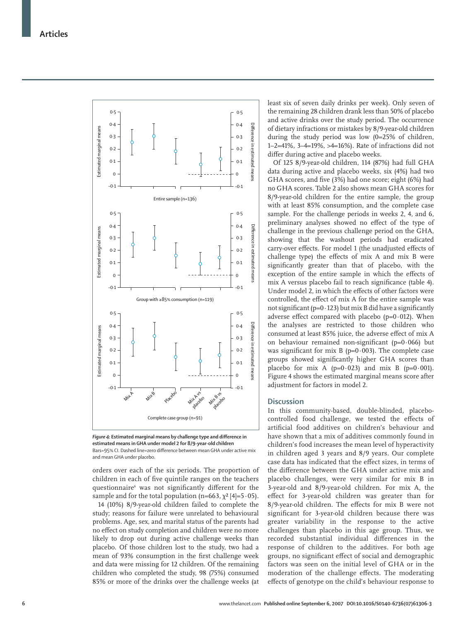

Figure 4: Estimated marginal means by challenge type and difference in **estimated means in GHA under model 2 for 8/9-year-old children** Bars=95% CJ. Dashed line=zero difference between mean GHA under active mix and mean GHA under placebo.

orders over each of the six periods. The proportion of children in each of five quintile ranges on the teachers questionnaire<sup>6</sup> was not significantly different for the sample and for the total population (n=663,  $\chi^2$  [4]=5·05).

14 (10%) 8/9-year-old children failed to complete the study; reasons for failure were unrelated to behavioural problems. Age, sex, and marital status of the parents had no effect on study completion and children were no more likely to drop out during active challenge weeks than placebo. Of those children lost to the study, two had a mean of 93% consumption in the first challenge week and data were missing for 12 children. Of the remaining children who completed the study, 98 (75%) consumed 85% or more of the drinks over the challenge weeks (at least six of seven daily drinks per week). Only seven of the remaining 28 children drank less than 50% of placebo and active drinks over the study period. The occurrence of dietary infractions or mistakes by 8/9-year-old children during the study period was low (0=25% of children, 1–2=41%, 3–4=19%, >4=16%). Rate of infractions did not differ during active and placebo weeks.

Of 125 8/9-year-old children, 114 (87%) had full GHA data during active and placebo weeks, six (4%) had two GHA scores, and five (3%) had one score; eight (6%) had no GHA scores. Table 2 also shows mean GHA scores for 8/9-year-old children for the entire sample, the group with at least 85% consumption, and the complete case sample. For the challenge periods in weeks 2, 4, and 6, preliminary analyses showed no effect of the type of challenge in the previous challenge period on the GHA, showing that the washout periods had eradicated carry-over effects. For model 1 (the unadjusted effects of challenge type) the effects of mix A and mix B were significantly greater than that of placebo, with the exception of the entire sample in which the effects of mix A versus placebo fail to reach significance (table 4). Under model 2, in which the effects of other factors were controlled, the effect of mix A for the entire sample was not significant ( $p=0.123$ ) but mix B did have a significantly adverse effect compared with placebo ( $p=0.012$ ). When the analyses are restricted to those children who consumed at least 85% juice, the adverse effect of mix A on behaviour remained non-significant ( $p=0.066$ ) but was significant for mix B ( $p=0.003$ ). The complete case groups showed significantly higher GHA scores than placebo for mix A ( $p=0.023$ ) and mix B ( $p=0.001$ ). Figure 4 shows the estimated marginal means score after adjustment for factors in model 2.

## **Discussion**

In this community-based, double-blinded, placebocontrolled food challenge, we tested the effects of artificial food additives on children's behaviour and have shown that a mix of additives commonly found in children's food increases the mean level of hyperactivity in children aged 3 years and 8/9 years. Our complete case data has indicated that the effect sizes, in terms of the difference between the GHA under active mix and placebo challenges, were very similar for mix B in 3-year-old and 8/9-year-old children. For mix A, the effect for 3-year-old children was greater than for 8/9-year-old children. The effects for mix B were not significant for 3-year-old children because there was greater variability in the response to the active challenges than placebo in this age group. Thus, we recorded substantial individual differences in the response of children to the additives. For both age groups, no significant effect of social and demographic factors was seen on the initial level of GHA or in the moderation of the challenge effects. The moderating effects of genotype on the child's behaviour response to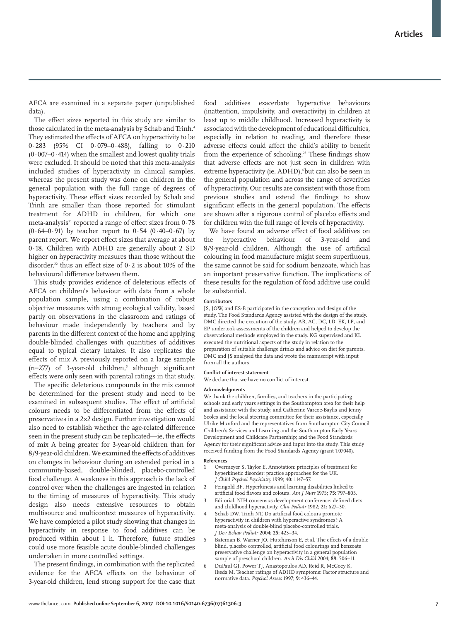AFCA are examined in a separate paper (unpublished data).

The effect sizes reported in this study are similar to those calculated in the meta-analysis by Schab and Trinh.4 They estimated the effects of AFCA on hyperactivity to be 0·283 (95% CI 0·079–0·488), falling to 0·210  $(0.007-0.414)$  when the smallest and lowest quality trials were excluded. It should be noted that this meta-analysis included studies of hyperactivity in clinical samples, whereas the present study was done on children in the general population with the full range of degrees of hyperactivity. These effect sizes recorded by Schab and Trinh are smaller than those reported for stimulant treatment for ADHD in children, for which one meta-analysis<sup>21</sup> reported a range of effect sizes from  $0.78$ (0.64–0.91) by teacher report to 0.54 (0.40–0.67) by parent report. We report effect sizes that average at about 0·18. Children with ADHD are generally about 2 SD higher on hyperactivity measures than those without the disorder,<sup>22</sup> thus an effect size of  $0.2$  is about 10% of the behavioural difference between them.

This study provides evidence of deleterious effects of AFCA on children's behaviour with data from a whole population sample, using a combination of robust objective measures with strong ecological validity, based partly on observations in the classroom and ratings of behaviour made independently by teachers and by parents in the different context of the home and applying double-blinded challenges with quantities of additives equal to typical dietary intakes. It also replicates the effects of mix A previously reported on a large sample  $(n=277)$  of 3-year-old children,<sup>5</sup> although significant effects were only seen with parental ratings in that study.

The specific deleterious compounds in the mix cannot be determined for the present study and need to be examined in subsequent studies. The effect of artificial colours needs to be differentiated from the effects of preservatives in a 2×2 design. Further investigation would also need to establish whether the age-related difference seen in the present study can be replicated-ie, the effects of mix A being greater for 3-year-old children than for 8/9-year-old children. We examined the effects of additives on changes in behaviour during an extended period in a community-based, double-blinded, placebo-controlled food challenge. A weakness in this approach is the lack of control over when the challenges are ingested in relation to the timing of measures of hyperactivity. This study design also needs extensive resources to obtain multisource and multicontext measures of hyperactivity. We have completed a pilot study showing that changes in hyperactivity in response to food additives can be produced within about 1 h. Therefore, future studies could use more feasible acute double-blinded challenges undertaken in more controlled settings.

The present findings, in combination with the replicated evidence for the AFCA effects on the behaviour of 3-year-old children, lend strong support for the case that food additives exacerbate hyperactive behaviours (inattention, impulsivity, and overactivity) in children at least up to middle childhood. Increased hyperactivity is associated with the development of educational difficulties, especially in relation to reading, and therefore these adverse effects could affect the child's ability to benefit from the experience of schooling.<sup>23</sup> These findings show that adverse effects are not just seen in children with extreme hyperactivity (ie, ADHD),<sup>4</sup> but can also be seen in the general population and across the range of severities of hyperactivity. Our results are consistent with those from previous studies and extend the findings to show significant effects in the general population. The effects are shown after a rigorous control of placebo effects and for children with the full range of levels of hyperactivity.

We have found an adverse effect of food additives on the hyperactive behaviour of 3-year-old and 8/9-year-old children. Although the use of artificial colouring in food manufacture might seem superfluous, the same cannot be said for sodium benzoate, which has an important preservative function. The implications of these results for the regulation of food additive use could be substantial.

#### **Contributors**

JS, JOW, and ES-B participated in the conception and design of the study. The Food Standards Agency assisted with the design of the study. DMC directed the execution of the study. AB, AC, DC, LD, EK, LP, and EP undertook assessments of the children and helped to develop the observational methods employed in the study. KG supervised and KL executed the nutritional aspects of the study in relation to the preparation of suitable challenge drinks and advice on diet for parents. DMC and JS analysed the data and wrote the manuscript with input from all the authors.

#### **Conflict of interest statement**

We declare that we have no conflict of interest

#### **Acknowledgments**

We thank the children, families, and teachers in the participating schools and early years settings in the Southampton area for their help and assistance with the study; and Catherine Varcoe-Baylis and Jenny Scoles and the local steering committee for their assistance, especially Ulrike Munford and the representatives from Southampton City Council Children's Services and Learning and the Southampton Early Years Development and Childcare Partnership; and the Food Standards Agency for their significant advice and input into the study. This study received funding from the Food Standards Agency (grant T07040).

#### **References**

- 1 Overmeyer S, Taylor E, Annotation: principles of treatment for hyperkinetic disorder: practice approaches for the UK. *J Child Psychol Psychiatry* 1999; **40:** 1147–57.
- 2 Feingold BF. Hyperkinesis and learning disabilities linked to artificial food flavors and colours. Am J Nurs 1975; 75: 797-803.
- Editorial. NIH consensus development conference: defined diets and childhood hyperactivity. *Clin Pediatr* 1982; **21:** 627–30.
- Schab DW, Trinh NT. Do artificial food colours promote hyperactivity in children with hyperactive syndromes? A meta-analysis of double-blind placebo-controlled trials. *J Dev Behav Pediatr* 2004; **25:** 423–34.
- 5 Bateman B, Warner JO, Hutchinson E, et al. The effects of a double blind, placebo controlled, artificial food colourings and benzoate preservative challenge on hyperactivity in a general population sample of preschool children. *Arch Dis Child* 2004; **89:** 506–11.
- 6 DuPaul GJ, Power TJ, Anastopoulos AD, Reid R, McGoey K, Ikeda M. Teacher ratings of ADHD symptoms: Factor structure and normative data. *Psychol Assess* 1997; **9:** 436–44.